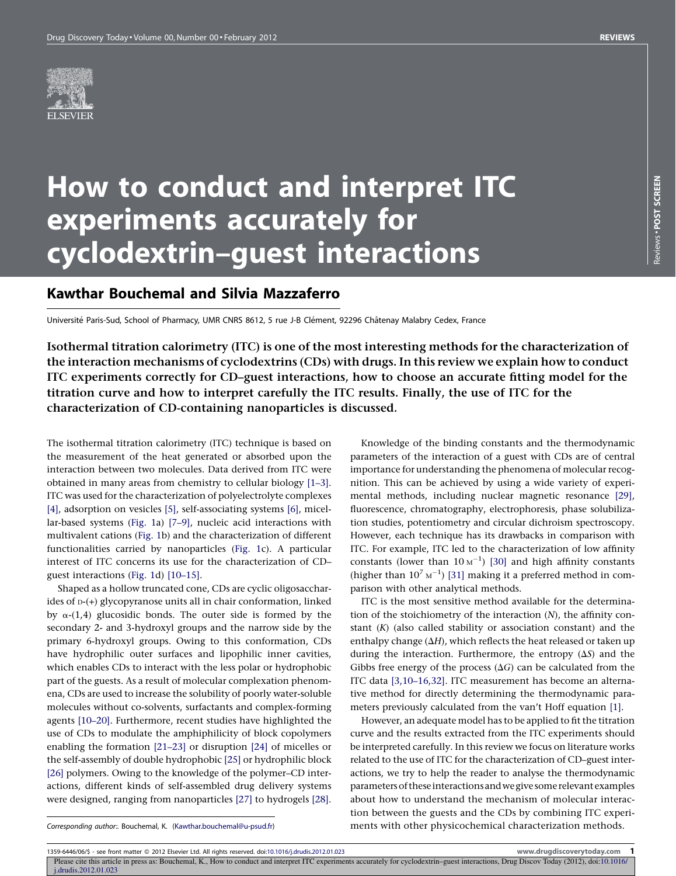# How to conduct and interpret ITC experiments accurately for cyclodextrin–guest interactions

# Kawthar Bouchemal and Silvia Mazzaferro

Université Paris-Sud, School of Pharmacy, UMR CNRS 8612, 5 rue J-B Clément, 92296 Châtenay Malabry Cedex, France

Isothermal titration calorimetry (ITC) is one of the most interesting methods for the characterization of the interaction mechanisms of cyclodextrins (CDs) with drugs.In this review we explain how to conduct ITC experiments correctly for CD–guest interactions, how to choose an accurate fitting model for the titration curve and how to interpret carefully the ITC results. Finally, the use of ITC for the characterization of CD-containing nanoparticles is discussed.

The isothermal titration calorimetry (ITC) technique is based on the measurement of the heat generated or absorbed upon the interaction between two molecules. Data derived from ITC were obtained in many areas from chemistry to cellular biology [\[1–3\].](#page-5-0) ITC was used for the characterization of polyelectrolyte complexes [\[4\]](#page-5-0), adsorption on vesicles [\[5\],](#page-5-0) self-associating systems [\[6\],](#page-5-0) micellar-based systems ([Fig.](#page-1-0) 1a) [\[7–9\]](#page-5-0), nucleic acid interactions with multivalent cations [\(Fig.](#page-1-0) 1b) and the characterization of different functionalities carried by nanoparticles ([Fig.](#page-1-0) 1c). A particular interest of ITC concerns its use for the characterization of CD– guest interactions ([Fig.](#page-1-0) 1d) [\[10–15\]](#page-5-0).

Shaped as a hollow truncated cone, CDs are cyclic oligosaccharides of D-(+) glycopyranose units all in chair conformation, linked by  $\alpha$ -(1,4) glucosidic bonds. The outer side is formed by the secondary 2- and 3-hydroxyl groups and the narrow side by the primary 6-hydroxyl groups. Owing to this conformation, CDs have hydrophilic outer surfaces and lipophilic inner cavities, which enables CDs to interact with the less polar or hydrophobic part of the guests. As a result of molecular complexation phenomena, CDs are used to increase the solubility of poorly water-soluble molecules without co-solvents, surfactants and complex-forming agents [\[10–20\].](#page-5-0) Furthermore, recent studies have highlighted the use of CDs to modulate the amphiphilicity of block copolymers enabling the formation [\[21–23\]](#page-5-0) or disruption [\[24\]](#page-5-0) of micelles or the self-assembly of double hydrophobic [\[25\]](#page-5-0) or hydrophilic block [\[26\]](#page-5-0) polymers. Owing to the knowledge of the polymer–CD interactions, different kinds of self-assembled drug delivery systems were designed, ranging from nanoparticles [\[27\]](#page-5-0) to hydrogels [\[28\].](#page-5-0)

Knowledge of the binding constants and the thermodynamic parameters of the interaction of a guest with CDs are of central importance for understanding the phenomena of molecular recognition. This can be achieved by using a wide variety of experimental methods, including nuclear magnetic resonance [\[29\],](#page-5-0) fluorescence, chromatography, electrophoresis, phase solubilization studies, potentiometry and circular dichroism spectroscopy. However, each technique has its drawbacks in comparison with ITC. For example, ITC led to the characterization of low affinity constants (lower than  $10 \text{ m}^{-1}$ ) [\[30\]](#page-5-0) and high affinity constants (higher than  $10^7 \text{ M}^{-1}$ ) [\[31\]](#page-5-0) making it a preferred method in comparison with other analytical methods.

ITC is the most sensitive method available for the determination of the stoichiometry of the interaction (N), the affinity constant (K) (also called stability or association constant) and the enthalpy change  $(\Delta H)$ , which reflects the heat released or taken up during the interaction. Furthermore, the entropy  $(\Delta S)$  and the Gibbs free energy of the process  $(\Delta G)$  can be calculated from the ITC data [\[3,10–16,32\]](#page-5-0). ITC measurement has become an alternative method for directly determining the thermodynamic parameters previously calculated from the van't Hoff equation [\[1\]](#page-5-0).

However, an adequate model has to be applied to fit the titration curve and the results extracted from the ITC experiments should be interpreted carefully. In this review we focus on literature works related to the use of ITC for the characterization of CD–guest interactions, we try to help the reader to analyse the thermodynamic parametersofthese interactionsandwegive some relevant examples about how to understand the mechanism of molecular interaction between the guests and the CDs by combining ITC experiments with other physicochemical characterization methods.

[j.drudis.2012.01.023](http://dx.doi.org/10.1016/j.drudis.2012.01.023)

1359-6446/06/\$ - see front matter © 2012 Elsevier Ltd. All rights reserved. doi:[10.1016/j.drudis.2012.01.023](http://dx.doi.org/10.1016/j.drudis.2012.01.023) www.drugdiscoverytoday.com 1

Corresponding author:. Bouchemal, K. [\(Kawthar.bouchemal@u-psud.fr](mailto:Kawthar.bouchemal@u-psud.fr))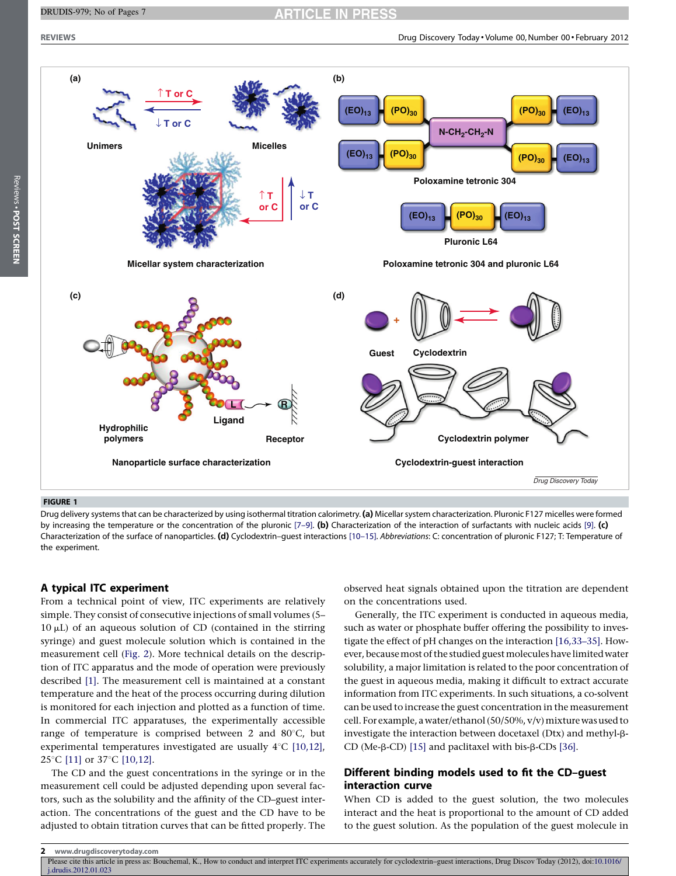**CLE IN PRESS** 

<span id="page-1-0"></span>

Reviews - POST SCREEN



#### FIGURE 1

Drug delivery systems that can be characterized by using isothermal titration calorimetry. (a) Micellar system characterization. Pluronic F127 micelles were formed by increasing the temperature or the concentration of the pluronic  $[7-9]$ . (b) Characterization of the interaction of surfactants with nucleic acids [\[9\]](#page-5-0). (c) Characterization of the surface of nanoparticles. (d) Cyclodextrin-guest interactions [10-15]. Abbreviations: C: concentration of pluronic F127; T: Temperature of the experiment.

#### A typical ITC experiment

From a technical point of view, ITC experiments are relatively simple. They consist of consecutive injections of small volumes (5–  $10 \mu L$ ) of an aqueous solution of CD (contained in the stirring syringe) and guest molecule solution which is contained in the measurement cell [\(Fig.](#page-2-0) 2). More technical details on the description of ITC apparatus and the mode of operation were previously described [\[1\].](#page-5-0) The measurement cell is maintained at a constant temperature and the heat of the process occurring during dilution is monitored for each injection and plotted as a function of time. In commercial ITC apparatuses, the experimentally accessible range of temperature is comprised between 2 and  $80^{\circ}$ C, but experimental temperatures investigated are usually  $4^{\circ}$ C [\[10,12\]](#page-5-0), 25°C [\[11\]](#page-5-0) or 37°C [\[10,12\].](#page-5-0)

The CD and the guest concentrations in the syringe or in the measurement cell could be adjusted depending upon several factors, such as the solubility and the affinity of the CD–guest interaction. The concentrations of the guest and the CD have to be adjusted to obtain titration curves that can be fitted properly. The

observed heat signals obtained upon the titration are dependent on the concentrations used.

Generally, the ITC experiment is conducted in aqueous media, such as water or phosphate buffer offering the possibility to investigate the effect of pH changes on the interaction [\[16,33–35\]](#page-5-0). However, because most of the studied guest molecules have limited water solubility, a major limitation is related to the poor concentration of the guest in aqueous media, making it difficult to extract accurate information from ITC experiments. In such situations, a co-solvent can be used to increase the guest concentration in the measurement cell. For example, a water/ethanol (50/50%,  $v/v$ ) mixture was used to investigate the interaction between docetaxel (Dtx) and methyl-b-CD (Me- $\beta$ -CD) [\[15\]](#page-5-0) and paclitaxel with bis- $\beta$ -CDs [\[36\].](#page-5-0)

## Different binding models used to fit the CD–guest interaction curve

When CD is added to the guest solution, the two molecules interact and the heat is proportional to the amount of CD added to the guest solution. As the population of the guest molecule in

Please cite this article in press as: Bouchemal, K., How to conduct and interpret ITC experiments accurately for cyclodextrin–guest interactions, Drug Discov Today (2012), doi:[10.1016/](http://dx.doi.org/10.1016/j.drudis.2012.01.023) [j.drudis.2012.01.023](http://dx.doi.org/10.1016/j.drudis.2012.01.023)

<sup>2</sup> www.drugdiscoverytoday.com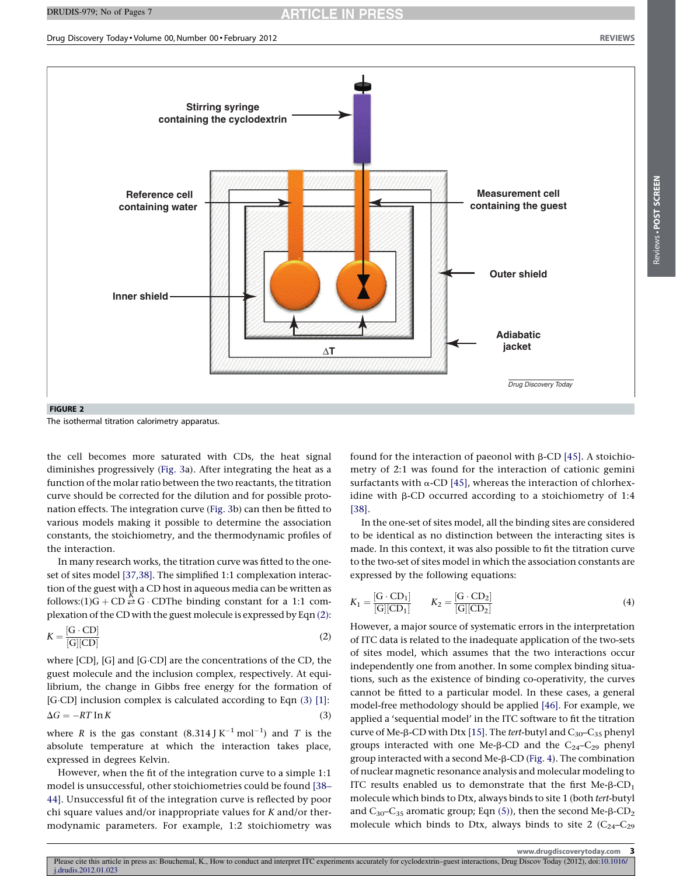<span id="page-2-0"></span>

FIGURE 2

The isothermal titration calorimetry apparatus.

the cell becomes more saturated with CDs, the heat signal diminishes progressively ([Fig.](#page-3-0) 3a). After integrating the heat as a function of the molar ratio between the two reactants, the titration curve should be corrected for the dilution and for possible protonation effects. The integration curve [\(Fig.](#page-3-0) 3b) can then be fitted to various models making it possible to determine the association constants, the stoichiometry, and the thermodynamic profiles of the interaction.

In many research works, the titration curve was fitted to the oneset of sites model [\[37,38\]](#page-5-0). The simplified 1:1 complexation interaction of the guest with a CD host in aqueous media can be written as follows: $(1)G + CD \stackrel{K}{\rightleftarrows} G \cdot CD$  The binding constant for a 1:1 complexation of the CD with the guest molecule is expressed by Eqn (2):

$$
K = \frac{[G \cdot CD]}{[G][CD]}
$$
 (2)

where  $[CD]$ ,  $[G]$  and  $[G \cdot CD]$  are the concentrations of the CD, the guest molecule and the inclusion complex, respectively. At equilibrium, the change in Gibbs free energy for the formation of [G·CD] inclusion complex is calculated according to Eqn (3) [\[1\]](#page-5-0):  $\Delta G = -RT \ln K$  (3)

where R is the gas constant  $(8.314 \text{ J K}^{-1} \text{ mol}^{-1})$  and T is the absolute temperature at which the interaction takes place, expressed in degrees Kelvin.

However, when the fit of the integration curve to a simple 1:1 model is unsuccessful, other stoichiometries could be found [\[38–](#page-5-0) [44\]](#page-5-0). Unsuccessful fit of the integration curve is reflected by poor chi square values and/or inappropriate values for K and/or thermodynamic parameters. For example, 1:2 stoichiometry was

found for the interaction of paeonol with  $\beta$ -CD [\[45\].](#page-6-0) A stoichiometry of 2:1 was found for the interaction of cationic gemini surfactants with  $\alpha$ -CD [\[45\],](#page-6-0) whereas the interaction of chlorhexidine with  $\beta$ -CD occurred according to a stoichiometry of 1:4 [\[38\]](#page-5-0).

In the one-set of sites model, all the binding sites are considered to be identical as no distinction between the interacting sites is made. In this context, it was also possible to fit the titration curve to the two-set of sites model in which the association constants are expressed by the following equations:

$$
K_1 = \frac{[G \cdot CD_1]}{[G][CD_1]} \qquad K_2 = \frac{[G \cdot CD_2]}{[G][CD_2]}
$$
(4)

However, a major source of systematic errors in the interpretation of ITC data is related to the inadequate application of the two-sets of sites model, which assumes that the two interactions occur independently one from another. In some complex binding situations, such as the existence of binding co-operativity, the curves cannot be fitted to a particular model. In these cases, a general model-free methodology should be applied [\[46\]](#page-6-0). For example, we applied a 'sequential model' in the ITC software to fit the titration curve of Me- $\beta$ -CD with Dtx [\[15\].](#page-5-0) The tert-butyl and  $C_{30}-C_{35}$  phenyl groups interacted with one Me- $\beta$ -CD and the C<sub>24</sub>-C<sub>29</sub> phenyl group interacted with a second Me-b-CD ([Fig.](#page-3-0) 4). The combination of nuclear magnetic resonance analysis and molecular modeling to ITC results enabled us to demonstrate that the first  $Me-B-CD<sub>1</sub>$ molecule which binds to Dtx, always binds to site 1 (both tert-butyl and  $C_{30}-C_{35}$  aromatic group; Eqn [\(5\)](#page-3-0)), then the second Me- $\beta$ -CD<sub>2</sub> molecule which binds to Dtx, always binds to site 2  $(C_{24}-C_{29})$ 

www.drugdiscoverytoday.com 3

Please cite this article in press as: Bouchemal, K., How to conduct and interpret ITC experiments accurately for cyclodextrin–guest interactions, Drug Discov Today (2012), doi[:10.1016/](http://dx.doi.org/10.1016/j.drudis.2012.01.023) [j.drudis.2012.01.023](http://dx.doi.org/10.1016/j.drudis.2012.01.023)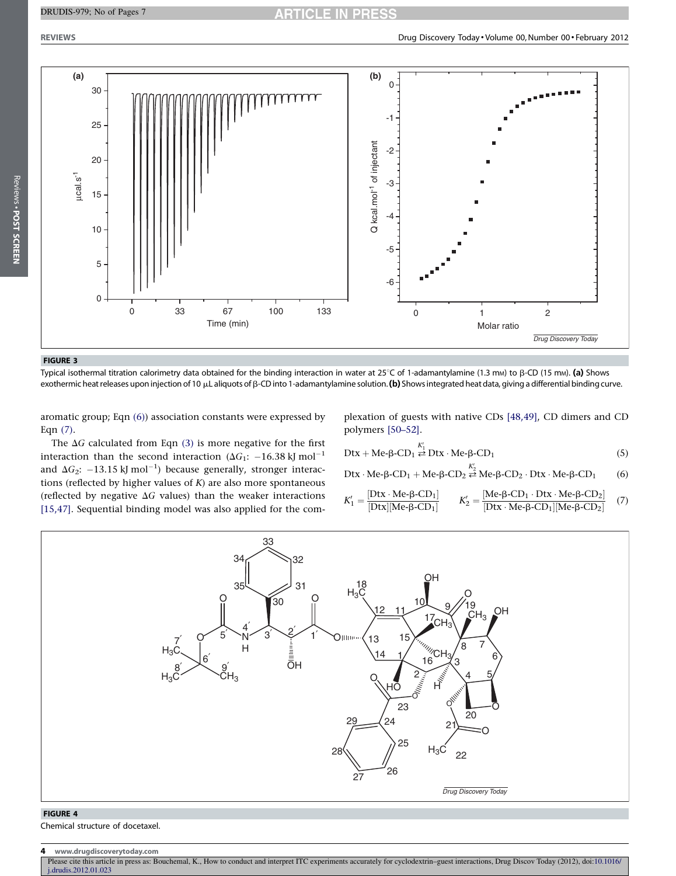#### <span id="page-3-0"></span>DRUDIS-979; No of Pages 7



FIGURE 3

Reviews - POST SCREEN

Typical isothermal titration calorimetry data obtained for the binding interaction in water at 25°C of 1-adamantylamine (1.3 mm) to  $\beta$ -CD (15 mm). (a) Shows exothermic heat releases upon injection of 10  $\mu$ L aliquots of  $\beta$ -CD into 1-adamantylamine solution. (b) Shows integrated heat data, giving a differential binding curve.

aromatic group; Eqn (6)) association constants were expressed by Eqn (7).

The  $\Delta G$  calculated from Eqn [\(3\)](#page-2-0) is more negative for the first interaction than the second interaction ( $\Delta G_1$ : -16.38 kJ mol<sup>-1</sup> and  $\Delta G_2$ :  $-13.15$  kJ mol<sup>-1</sup>) because generally, stronger interactions (reflected by higher values of  $K$ ) are also more spontaneous (reflected by negative  $\Delta G$  values) than the weaker interactions [\[15,47\]](#page-5-0). Sequential binding model was also applied for the com-

plexation of guests with native CDs [\[48,49\]](#page-6-0), CD dimers and CD polymers [\[50–52\]](#page-6-0).

Dtx + Me-β-CD<sub>1</sub> 
$$
\stackrel{K'_1}{\rightleftarrows}
$$
 Dtx · Me-β-CD<sub>1</sub> (5)

Dtx · Me-β-CD<sub>1</sub> + Me-β-CD<sub>2</sub> 
$$
\stackrel{K_2'}{\rightleftarrows}
$$
 Me-β-CD<sub>2</sub> · Dtx · Me-β-CD<sub>1</sub> (6)

$$
K_1' = \frac{[Dtx \cdot Me \cdot \beta\text{-}CD_1]}{[Dtx][Me \cdot \beta\text{-}CD_1]} \qquad K_2' = \frac{[Me \cdot \beta\text{-}CD_1 \cdot Dtx \cdot Me \cdot \beta\text{-}CD_2]}{[Dtx \cdot Me \cdot \beta\text{-}CD_1][Me \cdot \beta\text{-}CD_2]} \quad (7)
$$



#### FIGURE 4

Chemical structure of docetaxel.

Please cite this article in press as: Bouchemal, K., How to conduct and interpret ITC experiments accurately for cyclodextrin–guest interactions, Drug Discov Today (2012), doi:[10.1016/](http://dx.doi.org/10.1016/j.drudis.2012.01.023) [j.drudis.2012.01.023](http://dx.doi.org/10.1016/j.drudis.2012.01.023)

<sup>4</sup> www.drugdiscoverytoday.com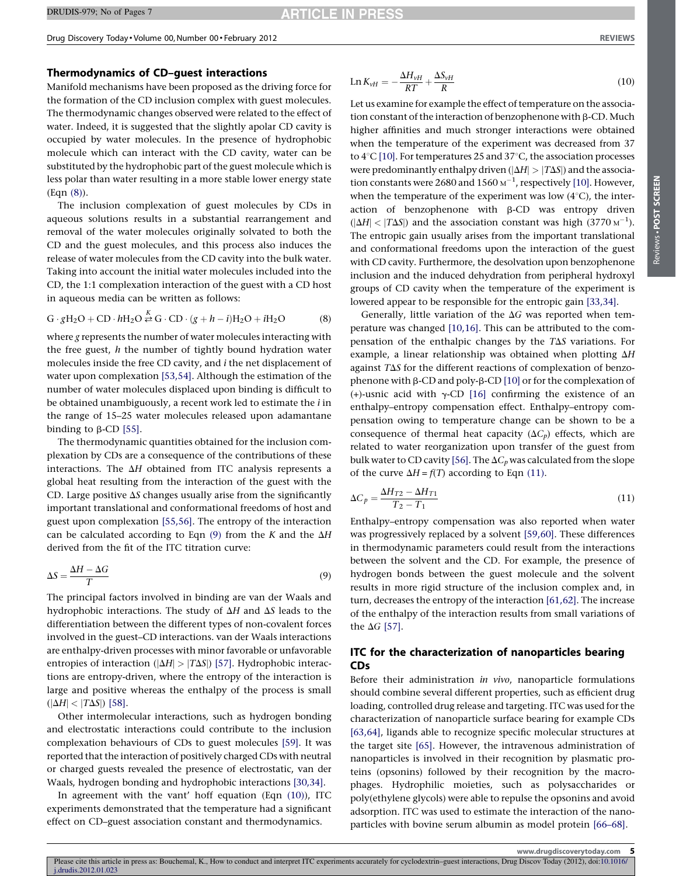#### Thermodynamics of CD–guest interactions

Manifold mechanisms have been proposed as the driving force for the formation of the CD inclusion complex with guest molecules. The thermodynamic changes observed were related to the effect of water. Indeed, it is suggested that the slightly apolar CD cavity is occupied by water molecules. In the presence of hydrophobic molecule which can interact with the CD cavity, water can be substituted by the hydrophobic part of the guest molecule which is less polar than water resulting in a more stable lower energy state (Eqn (8)).

The inclusion complexation of guest molecules by CDs in aqueous solutions results in a substantial rearrangement and removal of the water molecules originally solvated to both the CD and the guest molecules, and this process also induces the release of water molecules from the CD cavity into the bulk water. Taking into account the initial water molecules included into the CD, the 1:1 complexation interaction of the guest with a CD host in aqueous media can be written as follows:

$$
G \cdot gH_2O + CD \cdot hH_2O \stackrel{K}{\rightleftarrows} G \cdot CD \cdot (g + h - i)H_2O + iH_2O \tag{8}
$$

where g represents the number of water molecules interacting with the free guest,  $h$  the number of tightly bound hydration water molecules inside the free CD cavity, and i the net displacement of water upon complexation [\[53,54\].](#page-6-0) Although the estimation of the number of water molecules displaced upon binding is difficult to be obtained unambiguously, a recent work led to estimate the *i* in the range of 15–25 water molecules released upon adamantane binding to  $\beta$ -CD [\[55\]](#page-6-0).

The thermodynamic quantities obtained for the inclusion complexation by CDs are a consequence of the contributions of these interactions. The  $\Delta H$  obtained from ITC analysis represents a global heat resulting from the interaction of the guest with the CD. Large positive  $\Delta S$  changes usually arise from the significantly important translational and conformational freedoms of host and guest upon complexation [\[55,56\]](#page-6-0). The entropy of the interaction can be calculated according to Eqn  $(9)$  from the K and the  $\Delta H$ derived from the fit of the ITC titration curve:

$$
\Delta S = \frac{\Delta H - \Delta G}{T} \tag{9}
$$

The principal factors involved in binding are van der Waals and hydrophobic interactions. The study of  $\Delta H$  and  $\Delta S$  leads to the differentiation between the different types of non-covalent forces involved in the guest–CD interactions. van der Waals interactions are enthalpy-driven processes with minor favorable or unfavorable entropies of interaction ( $|\Delta H| > |T\Delta S|$ ) [\[57\]](#page-6-0). Hydrophobic interactions are entropy-driven, where the entropy of the interaction is large and positive whereas the enthalpy of the process is small  $(|\Delta H| < |T\Delta S|)$  [\[58\].](#page-6-0)

Other intermolecular interactions, such as hydrogen bonding and electrostatic interactions could contribute to the inclusion complexation behaviours of CDs to guest molecules [\[59\].](#page-6-0) It was reported that the interaction of positively charged CDs with neutral or charged guests revealed the presence of electrostatic, van der Waals, hydrogen bonding and hydrophobic interactions [\[30,34\].](#page-5-0)

In agreement with the vant' hoff equation (Eqn (10)), ITC experiments demonstrated that the temperature had a significant effect on CD–guest association constant and thermodynamics.

$$
\operatorname{Ln} K_{vH} = -\frac{\Delta H_{vH}}{RT} + \frac{\Delta S_{vH}}{R}
$$
\n(10)

Let us examine for example the effect of temperature on the association constant of the interaction of benzophenone with  $\beta$ -CD. Much higher affinities and much stronger interactions were obtained when the temperature of the experiment was decreased from 37 to  $4^{\circ}$ C [\[10\]](#page-5-0). For temperatures 25 and 37 $^{\circ}$ C, the association processes were predominantly enthalpy driven ( $|\Delta H| > |T\Delta S|$ ) and the association constants were 2680 and 1560  $\text{M}^{-1}$ , respectively [\[10\]](#page-5-0). However, when the temperature of the experiment was low  $(4^{\circ}C)$ , the interaction of benzophenone with  $\beta$ -CD was entropy driven  $(|\Delta H| < |T\Delta S|)$  and the association constant was high (3770 M<sup>-1</sup>). The entropic gain usually arises from the important translational and conformational freedoms upon the interaction of the guest with CD cavity. Furthermore, the desolvation upon benzophenone inclusion and the induced dehydration from peripheral hydroxyl groups of CD cavity when the temperature of the experiment is lowered appear to be responsible for the entropic gain [\[33,34\].](#page-5-0)

Generally, little variation of the  $\Delta G$  was reported when temperature was changed [\[10,16\].](#page-5-0) This can be attributed to the compensation of the enthalpic changes by the  $T\Delta S$  variations. For example, a linear relationship was obtained when plotting  $\Delta H$ against  $T\Delta S$  for the different reactions of complexation of benzophenone with  $\beta$ -CD and poly- $\beta$ -CD [\[10\]](#page-5-0) or for the complexation of (+)-usnic acid with  $\gamma$ -CD [\[16\]](#page-5-0) confirming the existence of an enthalpy–entropy compensation effect. Enthalpy–entropy compensation owing to temperature change can be shown to be a consequence of thermal heat capacity  $(\Delta C_p)$  effects, which are related to water reorganization upon transfer of the guest from bulk water to CD cavity [\[56\].](#page-6-0) The  $\Delta C_p$  was calculated from the slope of the curve  $\Delta H = f(T)$  according to Eqn (11).

$$
\Delta C_p = \frac{\Delta H_{T2} - \Delta H_{T1}}{T_2 - T_1} \tag{11}
$$

Enthalpy–entropy compensation was also reported when water was progressively replaced by a solvent [\[59,60\]](#page-6-0). These differences in thermodynamic parameters could result from the interactions between the solvent and the CD. For example, the presence of hydrogen bonds between the guest molecule and the solvent results in more rigid structure of the inclusion complex and, in turn, decreases the entropy of the interaction [\[61,62\]](#page-6-0). The increase of the enthalpy of the interaction results from small variations of the  $\Delta G$  [\[57\]](#page-6-0).

## ITC for the characterization of nanoparticles bearing CDs

Before their administration in vivo, nanoparticle formulations should combine several different properties, such as efficient drug loading, controlled drug release and targeting. ITC was used forthe characterization of nanoparticle surface bearing for example CDs [\[63,64\]](#page-6-0), ligands able to recognize specific molecular structures at the target site [\[65\]](#page-6-0). However, the intravenous administration of nanoparticles is involved in their recognition by plasmatic proteins (opsonins) followed by their recognition by the macrophages. Hydrophilic moieties, such as polysaccharides or poly(ethylene glycols) were able to repulse the opsonins and avoid adsorption. ITC was used to estimate the interaction of the nanoparticles with bovine serum albumin as model protein [\[66–68\].](#page-6-0)

Please cite this article in press as: Bouchemal, K., How to conduct and interpret ITC experiments accurately for cyclodextrin–guest interactions, Drug Discov Today (2012), doi[:10.1016/](http://dx.doi.org/10.1016/j.drudis.2012.01.023) [j.drudis.2012.01.023](http://dx.doi.org/10.1016/j.drudis.2012.01.023)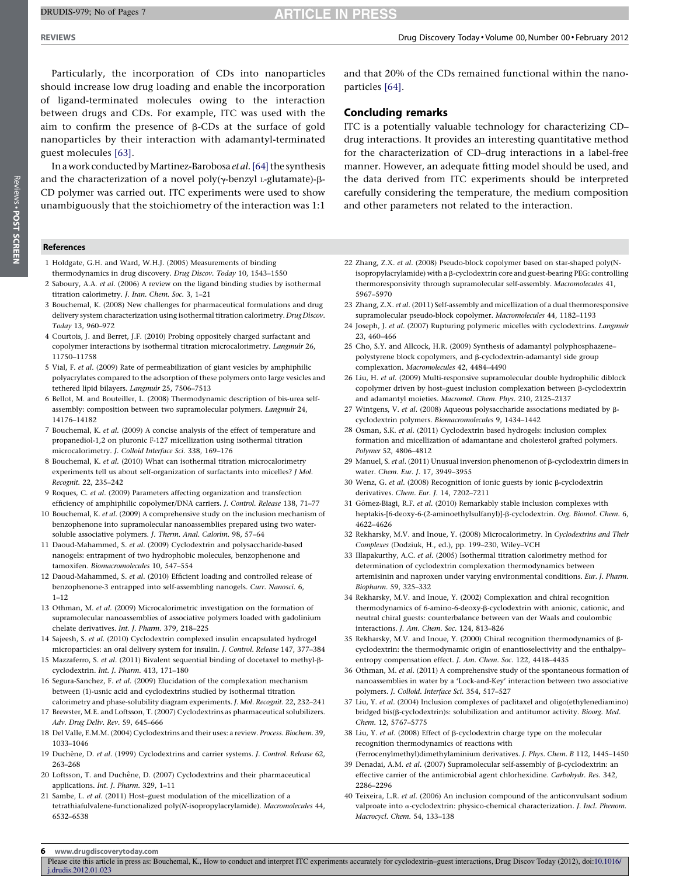# **ARTICLE IN PRESS**

<span id="page-5-0"></span>

Particularly, the incorporation of CDs into nanoparticles should increase low drug loading and enable the incorporation of ligand-terminated molecules owing to the interaction between drugs and CDs. For example, ITC was used with the aim to confirm the presence of  $\beta$ -CDs at the surface of gold nanoparticles by their interaction with adamantyl-terminated guest molecules [\[63\]](#page-6-0).

In a work conducted by Martinez-Barobosa et al. [\[64\]](#page-6-0) the synthesis and the characterization of a novel poly( $\gamma$ -benzyl L-glutamate)- $\beta$ -CD polymer was carried out. ITC experiments were used to show unambiguously that the stoichiometry of the interaction was 1:1

References

- 1 Holdgate, G.H. and Ward, W.H.J. (2005) Measurements of binding thermodynamics in drug discovery. Drug Discov. Today 10, 1543–1550
- 2 Saboury, A.A. et al. (2006) A review on the ligand binding studies by isothermal titration calorimetry. J. Iran. Chem. Soc. 3, 1–21
- 3 Bouchemal, K. (2008) New challenges for pharmaceutical formulations and drug delivery system characterization using isothermal titration calorimetry. Drug Discov. Today 13, 960–972
- 4 Courtois, J. and Berret, J.F. (2010) Probing oppositely charged surfactant and copolymer interactions by isothermal titration microcalorimetry. Langmuir 26, 11750–11758
- 5 Vial, F. et al. (2009) Rate of permeabilization of giant vesicles by amphiphilic polyacrylates compared to the adsorption of these polymers onto large vesicles and tethered lipid bilayers. Langmuir 25, 7506–7513
- 6 Bellot, M. and Bouteiller, L. (2008) Thermodynamic description of bis-urea selfassembly: composition between two supramolecular polymers. Langmuir 24, 14176–14182
- 7 Bouchemal, K. et al. (2009) A concise analysis of the effect of temperature and propanediol-1,2 on pluronic F-127 micellization using isothermal titration microcalorimetry. J. Colloid Interface Sci. 338, 169–176
- 8 Bouchemal, K. et al. (2010) What can isothermal titration microcalorimetry experiments tell us about self-organization of surfactants into micelles? J Mol. Recognit. 22, 235–242
- 9 Roques, C. et al. (2009) Parameters affecting organization and transfection efficiency of amphiphilic copolymer/DNA carriers. J. Control. Release 138, 71–77
- 10 Bouchemal, K. et al. (2009) A comprehensive study on the inclusion mechanism of benzophenone into supramolecular nanoassemblies prepared using two watersoluble associative polymers. J. Therm. Anal. Calorim. 98, 57–64
- 11 Daoud-Mahammed, S. et al. (2009) Cyclodextrin and polysaccharide-based nanogels: entrapment of two hydrophobic molecules, benzophenone and tamoxifen. Biomacromolecules 10, 547–554
- 12 Daoud-Mahammed, S. et al. (2010) Efficient loading and controlled release of benzophenone-3 entrapped into self-assembling nanogels. Curr. Nanosci. 6,  $1-12$
- 13 Othman, M. et al. (2009) Microcalorimetric investigation on the formation of supramolecular nanoassemblies of associative polymers loaded with gadolinium chelate derivatives. Int. J. Pharm. 379, 218–225
- 14 Sajeesh, S. et al. (2010) Cyclodextrin complexed insulin encapsulated hydrogel microparticles: an oral delivery system for insulin. J. Control. Release 147, 377–384
- 15 Mazzaferro, S. et al. (2011) Bivalent sequential binding of docetaxel to methyl-bcyclodextrin. Int. J. Pharm. 413, 171–180
- 16 Segura-Sanchez, F. et al. (2009) Elucidation of the complexation mechanism between (1)-usnic acid and cyclodextrins studied by isothermal titration calorimetry and phase-solubility diagram experiments. J. Mol. Recognit. 22, 232–241
- 17 Brewster, M.E. and Loftsson, T. (2007) Cyclodextrins as pharmaceutical solubilizers. Adv. Drug Deliv. Rev. 59, 645–666
- 18 Del Valle, E.M.M. (2004) Cyclodextrins and their uses: a review. Process. Biochem. 39, 1033–1046
- 19 Duchêne, D. et al. (1999) Cyclodextrins and carrier systems. J. Control. Release 62, 263–268
- 20 Loftsson, T. and Duchêne, D. (2007) Cyclodextrins and their pharmaceutical applications. Int. J. Pharm. 329, 1–11
- 21 Sambe, L. et al. (2011) Host–guest modulation of the micellization of a tetrathiafulvalene-functionalized poly(N-isopropylacrylamide). Macromolecules 44, 6532–6538

and that 20% of the CDs remained functional within the nanoparticles [\[64\].](#page-6-0)

#### Concluding remarks

ITC is a potentially valuable technology for characterizing CD– drug interactions. It provides an interesting quantitative method for the characterization of CD–drug interactions in a label-free manner. However, an adequate fitting model should be used, and the data derived from ITC experiments should be interpreted carefully considering the temperature, the medium composition and other parameters not related to the interaction.

- 22 Zhang, Z.X. et al. (2008) Pseudo-block copolymer based on star-shaped poly(Nisopropylacrylamide) with a  $\beta$ -cyclodextrin core and guest-bearing PEG: controlling thermoresponsivity through supramolecular self-assembly. Macromolecules 41, 5967–5970
- 23 Zhang, Z.X. et al. (2011) Self-assembly and micellization of a dual thermoresponsive supramolecular pseudo-block copolymer. Macromolecules 44, 1182–1193
- 24 Joseph, J. et al. (2007) Rupturing polymeric micelles with cyclodextrins. Langmuir 23, 460–466
- 25 Cho, S.Y. and Allcock, H.R. (2009) Synthesis of adamantyl polyphosphazene– polystyrene block copolymers, and b-cyclodextrin-adamantyl side group complexation. Macromolecules 42, 4484–4490
- 26 Liu, H. et al. (2009) Multi-responsive supramolecular double hydrophilic diblock copolymer driven by host-guest inclusion complexation between  $\beta$ -cyclodextrin and adamantyl moieties. Macromol. Chem. Phys. 210, 2125–2137
- 27 Wintgens, V. et al. (2008) Aqueous polysaccharide associations mediated by  $\beta$ cyclodextrin polymers. Biomacromolecules 9, 1434–1442
- 28 Osman, S.K. et al. (2011) Cyclodextrin based hydrogels: inclusion complex formation and micellization of adamantane and cholesterol grafted polymers. Polymer 52, 4806–4812
- 29 Manuel, S. et al. (2011) Unusual inversion phenomenon of  $\beta$ -cyclodextrin dimers in water. Chem. Eur. J. 17, 3949–3955
- 30 Wenz, G. et al. (2008) Recognition of ionic guests by ionic b-cyclodextrin derivatives. Chem. Eur. J. 14, 7202–7211
- 31 Gómez-Biagi, R.F. et al. (2010) Remarkably stable inclusion complexes with heptakis-[6-deoxy-6-(2-aminoethylsulfanyl)]- $\beta$ -cyclodextrin. Org. Biomol. Chem. 6, 4622–4626
- 32 Rekharsky, M.V. and Inoue, Y. (2008) Microcalorimetry. In Cyclodextrins and Their Complexes (Dodziuk, H., ed.), pp. 199–230, Wiley–VCH
- 33 Illapakurthy, A.C. et al. (2005) Isothermal titration calorimetry method for determination of cyclodextrin complexation thermodynamics between artemisinin and naproxen under varying environmental conditions. Eur. J. Pharm. Biopharm. 59, 325–332
- 34 Rekharsky, M.V. and Inoue, Y. (2002) Complexation and chiral recognition thermodynamics of 6-amino-6-deoxy-b-cyclodextrin with anionic, cationic, and neutral chiral guests: counterbalance between van der Waals and coulombic interactions. J. Am. Chem. Soc. 124, 813–826
- 35 Rekharsky, M.V. and Inoue, Y. (2000) Chiral recognition thermodynamics of bcyclodextrin: the thermodynamic origin of enantioselectivity and the enthalpy– entropy compensation effect. J. Am. Chem. Soc. 122, 4418–4435
- 36 Othman, M. et al. (2011) A comprehensive study of the spontaneous formation of nanoassemblies in water by a 'Lock-and-Key' interaction between two associative polymers. J. Colloid. Interface Sci. 354, 517–527
- 37 Liu, Y. et al. (2004) Inclusion complexes of paclitaxel and oligo(ethylenediamino) bridged bis( $\beta$ -cyclodextrin)s: solubilization and antitumor activity. Bioorg. Med. Chem. 12, 5767–5775
- 38 Liu, Y. et al. (2008) Effect of  $\beta$ -cyclodextrin charge type on the molecular recognition thermodynamics of reactions with
- (Ferrocenylmethyl)dimethylaminium derivatives. J. Phys. Chem. B 112, 1445–1450 39 Denadai, A.M. et al. (2007) Supramolecular self-assembly of  $\beta$ -cyclodextrin: an
- effective carrier of the antimicrobial agent chlorhexidine. Carbohydr. Res. 342, 2286–2296
- 40 Teixeira, L.R. et al. (2006) An inclusion compound of the anticonvulsant sodium valproate into a-cyclodextrin: physico-chemical characterization. J. Incl. Phenom. Macrocycl. Chem. 54, 133–138

6 www.drugdiscoverytoday.com

Please cite this article in press as: Bouchemal, K., How to conduct and interpret ITC experiments accurately for cyclodextrin–guest interactions, Drug Discov Today (2012), doi:[10.1016/](http://dx.doi.org/10.1016/j.drudis.2012.01.023) [j.drudis.2012.01.023](http://dx.doi.org/10.1016/j.drudis.2012.01.023)